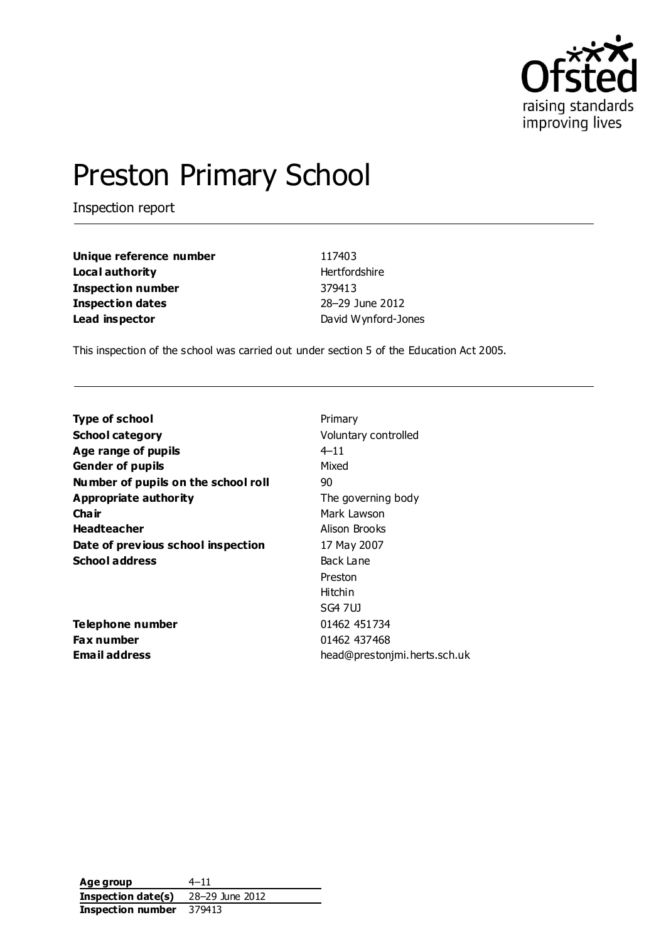

# Preston Primary School

Inspection report

| Unique reference number  |
|--------------------------|
| Local authority          |
| <b>Inspection number</b> |
| <b>Inspection dates</b>  |
| Lead inspector           |

**Unique reference number** 117403 **Hertfordshire Inspection number** 379413 **Inspection dates** 28–29 June 2012 **Lead inspector** David Wynford-Jones

This inspection of the school was carried out under section 5 of the Education Act 2005.

| Type of school                      | Primary                      |
|-------------------------------------|------------------------------|
| <b>School category</b>              | Voluntary controlled         |
| Age range of pupils                 | $4 - 11$                     |
| <b>Gender of pupils</b>             | Mixed                        |
| Number of pupils on the school roll | 90                           |
| Appropriate authority               | The governing body           |
| Cha ir                              | Mark Lawson                  |
| <b>Headteacher</b>                  | Alison Brooks                |
| Date of previous school inspection  | 17 May 2007                  |
| <b>School address</b>               | Back Lane                    |
|                                     | Preston                      |
|                                     | Hitchin                      |
|                                     | SG4 7UJ                      |
| Telephone number                    | 01462 451734                 |
| <b>Fax number</b>                   | 01462 437468                 |
| <b>Email address</b>                | head@prestonjmi.herts.sch.uk |
|                                     |                              |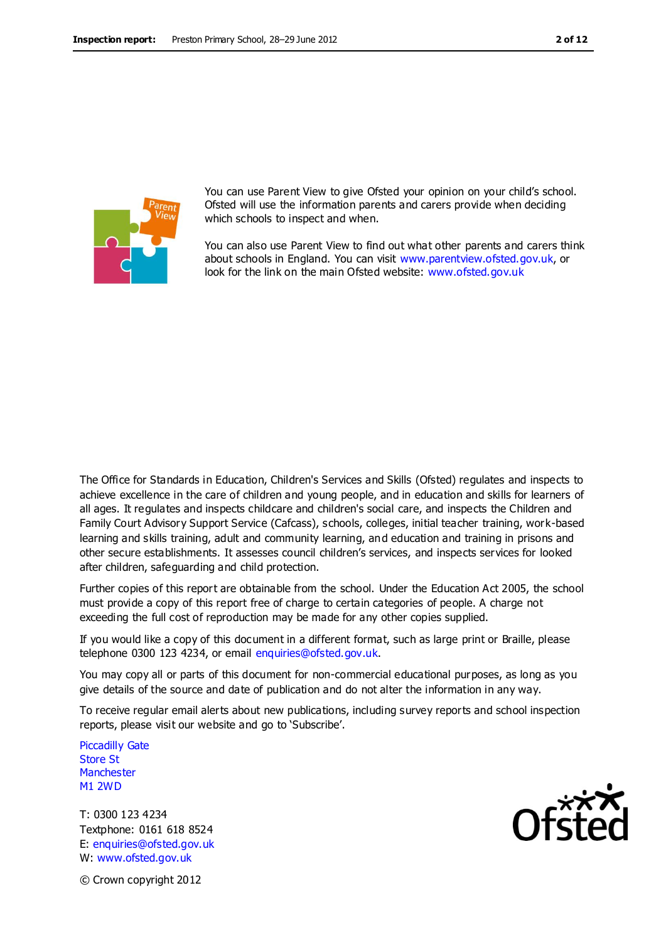

You can use Parent View to give Ofsted your opinion on your child's school. Ofsted will use the information parents and carers provide when deciding which schools to inspect and when.

You can also use Parent View to find out what other parents and carers think about schools in England. You can visit [www.parentview.ofsted.gov.uk,](http://www.parentview.ofsted.gov.uk/) or look for the link on the main Ofsted website: [www.ofsted.gov.uk](http://www.ofsted.gov.uk/)

The Office for Standards in Education, Children's Services and Skills (Ofsted) regulates and inspects to achieve excellence in the care of children and young people, and in education and skills for learners of all ages. It regulates and inspects childcare and children's social care, and inspects the Children and Family Court Advisory Support Service (Cafcass), schools, colleges, initial teacher training, work-based learning and skills training, adult and community learning, and education and training in prisons and other secure establishments. It assesses council children's services, and inspects services for looked after children, safeguarding and child protection.

Further copies of this report are obtainable from the school. Under the Education Act 2005, the school must provide a copy of this report free of charge to certain categories of people. A charge not exceeding the full cost of reproduction may be made for any other copies supplied.

If you would like a copy of this document in a different format, such as large print or Braille, please telephone 0300 123 4234, or email enquiries@ofsted.gov.uk.

You may copy all or parts of this document for non-commercial educational purposes, as long as you give details of the source and date of publication and do not alter the information in any way.

To receive regular email alerts about new publications, including survey reports and school inspection reports, please visit our website and go to 'Subscribe'.

Piccadilly Gate Store St **Manchester** M1 2WD

T: 0300 123 4234 Textphone: 0161 618 8524 E: enquiries@ofsted.gov.uk W: www.ofsted.gov.uk



© Crown copyright 2012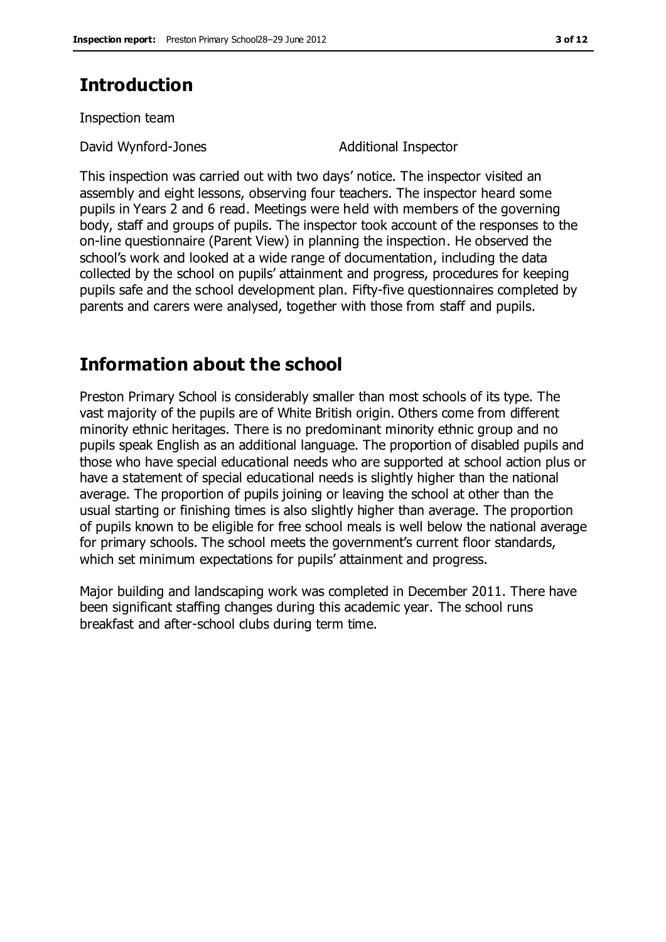# **Introduction**

Inspection team

David Wynford-Jones **Additional Inspector** 

This inspection was carried out with two days' notice. The inspector visited an assembly and eight lessons, observing four teachers. The inspector heard some pupils in Years 2 and 6 read. Meetings were held with members of the governing body, staff and groups of pupils. The inspector took account of the responses to the on-line questionnaire (Parent View) in planning the inspection. He observed the school's work and looked at a wide range of documentation, including the data collected by the school on pupils' attainment and progress, procedures for keeping pupils safe and the school development plan. Fifty-five questionnaires completed by parents and carers were analysed, together with those from staff and pupils.

# **Information about the school**

Preston Primary School is considerably smaller than most schools of its type. The vast majority of the pupils are of White British origin. Others come from different minority ethnic heritages. There is no predominant minority ethnic group and no pupils speak English as an additional language. The proportion of disabled pupils and those who have special educational needs who are supported at school action plus or have a statement of special educational needs is slightly higher than the national average. The proportion of pupils joining or leaving the school at other than the usual starting or finishing times is also slightly higher than average. The proportion of pupils known to be eligible for free school meals is well below the national average for primary schools. The school meets the government's current floor standards, which set minimum expectations for pupils' attainment and progress.

Major building and landscaping work was completed in December 2011. There have been significant staffing changes during this academic year. The school runs breakfast and after-school clubs during term time.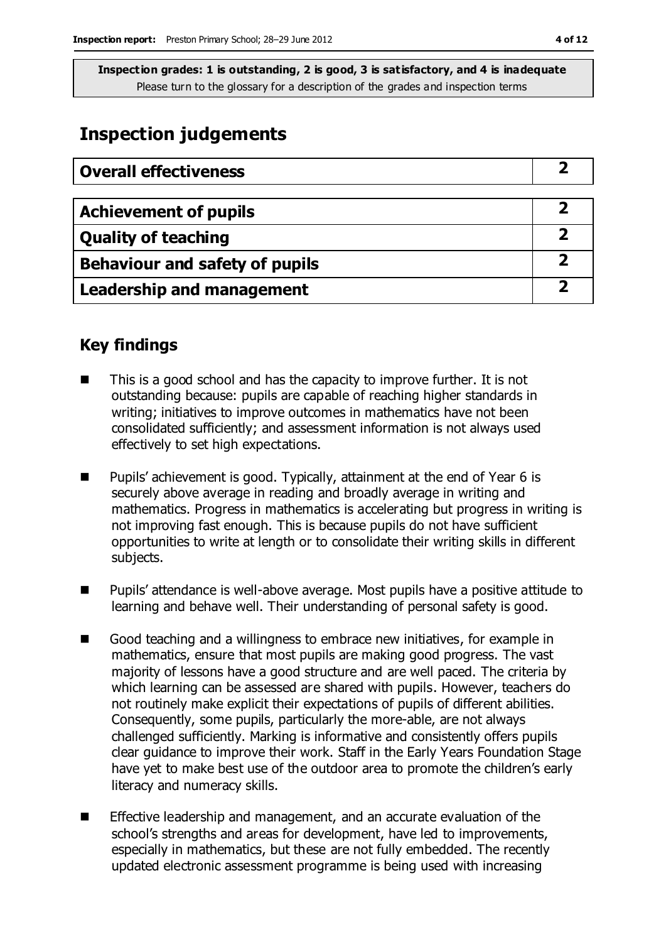# **Inspection judgements**

| <b>Overall effectiveness</b>          |  |
|---------------------------------------|--|
|                                       |  |
| <b>Achievement of pupils</b>          |  |
| <b>Quality of teaching</b>            |  |
| <b>Behaviour and safety of pupils</b> |  |
| <b>Leadership and management</b>      |  |

## **Key findings**

- This is a good school and has the capacity to improve further. It is not outstanding because: pupils are capable of reaching higher standards in writing; initiatives to improve outcomes in mathematics have not been consolidated sufficiently; and assessment information is not always used effectively to set high expectations.
- Pupils' achievement is good. Typically, attainment at the end of Year 6 is securely above average in reading and broadly average in writing and mathematics. Progress in mathematics is accelerating but progress in writing is not improving fast enough. This is because pupils do not have sufficient opportunities to write at length or to consolidate their writing skills in different subjects.
- Pupils' attendance is well-above average. Most pupils have a positive attitude to learning and behave well. Their understanding of personal safety is good.
- Good teaching and a willingness to embrace new initiatives, for example in mathematics, ensure that most pupils are making good progress. The vast majority of lessons have a good structure and are well paced. The criteria by which learning can be assessed are shared with pupils. However, teachers do not routinely make explicit their expectations of pupils of different abilities. Consequently, some pupils, particularly the more-able, are not always challenged sufficiently. Marking is informative and consistently offers pupils clear guidance to improve their work. Staff in the Early Years Foundation Stage have yet to make best use of the outdoor area to promote the children's early literacy and numeracy skills.
- **Effective leadership and management, and an accurate evaluation of the** school's strengths and areas for development, have led to improvements, especially in mathematics, but these are not fully embedded. The recently updated electronic assessment programme is being used with increasing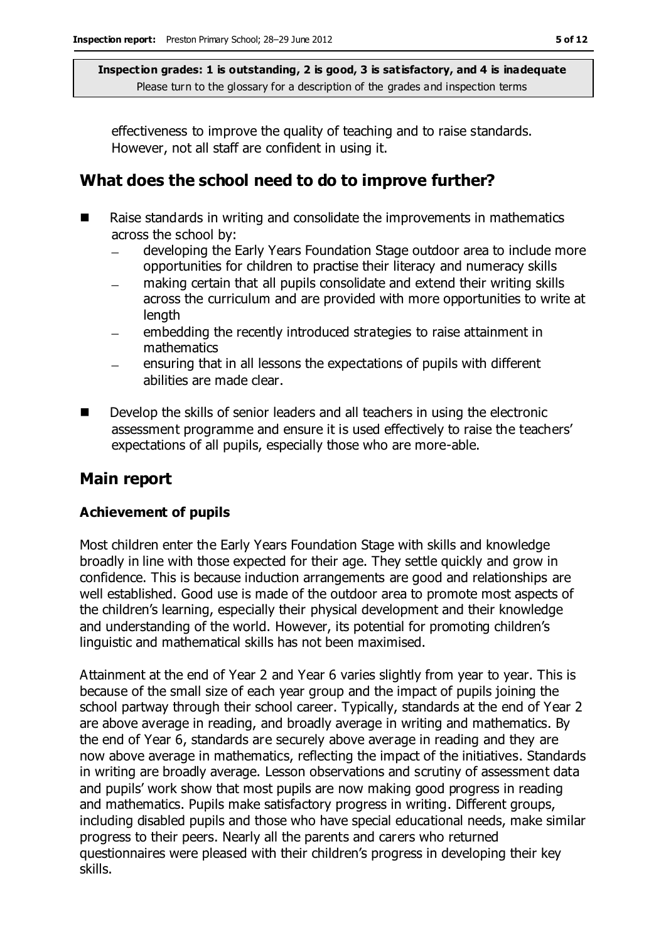effectiveness to improve the quality of teaching and to raise standards. However, not all staff are confident in using it.

## **What does the school need to do to improve further?**

- Raise standards in writing and consolidate the improvements in mathematics across the school by:
	- developing the Early Years Foundation Stage outdoor area to include more opportunities for children to practise their literacy and numeracy skills
	- making certain that all pupils consolidate and extend their writing skills across the curriculum and are provided with more opportunities to write at length
	- embedding the recently introduced strategies to raise attainment in mathematics
	- ensuring that in all lessons the expectations of pupils with different abilities are made clear.
- Develop the skills of senior leaders and all teachers in using the electronic assessment programme and ensure it is used effectively to raise the teachers' expectations of all pupils, especially those who are more-able.

## **Main report**

### **Achievement of pupils**

Most children enter the Early Years Foundation Stage with skills and knowledge broadly in line with those expected for their age. They settle quickly and grow in confidence. This is because induction arrangements are good and relationships are well established. Good use is made of the outdoor area to promote most aspects of the children's learning, especially their physical development and their knowledge and understanding of the world. However, its potential for promoting children's linguistic and mathematical skills has not been maximised.

Attainment at the end of Year 2 and Year 6 varies slightly from year to year. This is because of the small size of each year group and the impact of pupils joining the school partway through their school career. Typically, standards at the end of Year 2 are above average in reading, and broadly average in writing and mathematics. By the end of Year 6, standards are securely above average in reading and they are now above average in mathematics, reflecting the impact of the initiatives. Standards in writing are broadly average. Lesson observations and scrutiny of assessment data and pupils' work show that most pupils are now making good progress in reading and mathematics. Pupils make satisfactory progress in writing. Different groups, including disabled pupils and those who have special educational needs, make similar progress to their peers. Nearly all the parents and carers who returned questionnaires were pleased with their children's progress in developing their key skills.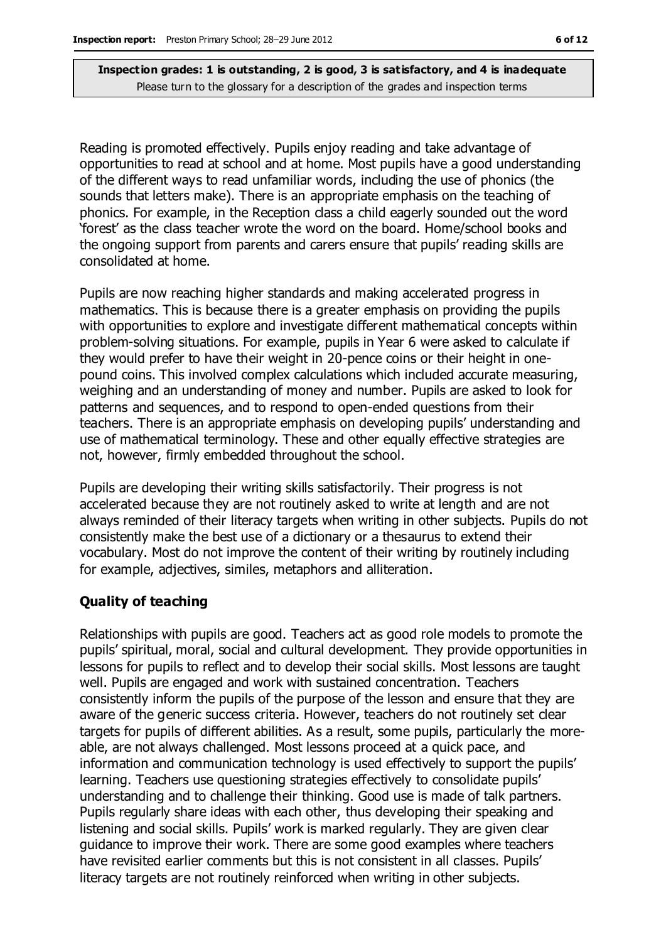Reading is promoted effectively. Pupils enjoy reading and take advantage of opportunities to read at school and at home. Most pupils have a good understanding of the different ways to read unfamiliar words, including the use of phonics (the sounds that letters make). There is an appropriate emphasis on the teaching of phonics. For example, in the Reception class a child eagerly sounded out the word 'forest' as the class teacher wrote the word on the board. Home/school books and the ongoing support from parents and carers ensure that pupils' reading skills are consolidated at home.

Pupils are now reaching higher standards and making accelerated progress in mathematics. This is because there is a greater emphasis on providing the pupils with opportunities to explore and investigate different mathematical concepts within problem-solving situations. For example, pupils in Year 6 were asked to calculate if they would prefer to have their weight in 20-pence coins or their height in onepound coins. This involved complex calculations which included accurate measuring, weighing and an understanding of money and number. Pupils are asked to look for patterns and sequences, and to respond to open-ended questions from their teachers. There is an appropriate emphasis on developing pupils' understanding and use of mathematical terminology. These and other equally effective strategies are not, however, firmly embedded throughout the school.

Pupils are developing their writing skills satisfactorily. Their progress is not accelerated because they are not routinely asked to write at length and are not always reminded of their literacy targets when writing in other subjects. Pupils do not consistently make the best use of a dictionary or a thesaurus to extend their vocabulary. Most do not improve the content of their writing by routinely including for example, adjectives, similes, metaphors and alliteration.

#### **Quality of teaching**

Relationships with pupils are good. Teachers act as good role models to promote the pupils' spiritual, moral, social and cultural development. They provide opportunities in lessons for pupils to reflect and to develop their social skills. Most lessons are taught well. Pupils are engaged and work with sustained concentration. Teachers consistently inform the pupils of the purpose of the lesson and ensure that they are aware of the generic success criteria. However, teachers do not routinely set clear targets for pupils of different abilities. As a result, some pupils, particularly the moreable, are not always challenged. Most lessons proceed at a quick pace, and information and communication technology is used effectively to support the pupils' learning. Teachers use questioning strategies effectively to consolidate pupils' understanding and to challenge their thinking. Good use is made of talk partners. Pupils regularly share ideas with each other, thus developing their speaking and listening and social skills. Pupils' work is marked regularly. They are given clear guidance to improve their work. There are some good examples where teachers have revisited earlier comments but this is not consistent in all classes. Pupils' literacy targets are not routinely reinforced when writing in other subjects.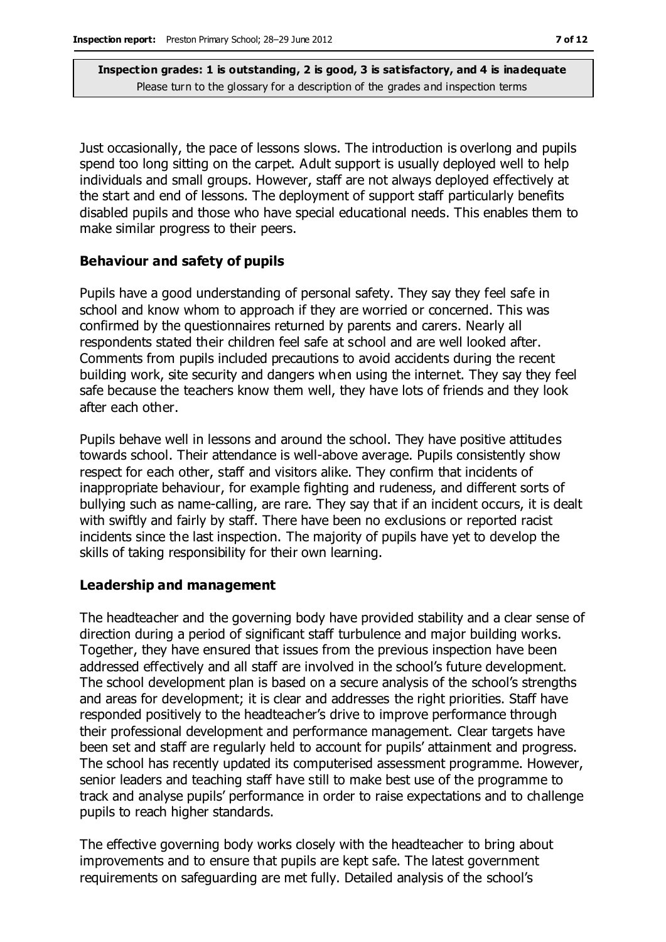Just occasionally, the pace of lessons slows. The introduction is overlong and pupils spend too long sitting on the carpet. Adult support is usually deployed well to help individuals and small groups. However, staff are not always deployed effectively at the start and end of lessons. The deployment of support staff particularly benefits disabled pupils and those who have special educational needs. This enables them to make similar progress to their peers.

#### **Behaviour and safety of pupils**

Pupils have a good understanding of personal safety. They say they feel safe in school and know whom to approach if they are worried or concerned. This was confirmed by the questionnaires returned by parents and carers. Nearly all respondents stated their children feel safe at school and are well looked after. Comments from pupils included precautions to avoid accidents during the recent building work, site security and dangers when using the internet. They say they feel safe because the teachers know them well, they have lots of friends and they look after each other.

Pupils behave well in lessons and around the school. They have positive attitudes towards school. Their attendance is well-above average. Pupils consistently show respect for each other, staff and visitors alike. They confirm that incidents of inappropriate behaviour, for example fighting and rudeness, and different sorts of bullying such as name-calling, are rare. They say that if an incident occurs, it is dealt with swiftly and fairly by staff. There have been no exclusions or reported racist incidents since the last inspection. The majority of pupils have yet to develop the skills of taking responsibility for their own learning.

#### **Leadership and management**

The headteacher and the governing body have provided stability and a clear sense of direction during a period of significant staff turbulence and major building works. Together, they have ensured that issues from the previous inspection have been addressed effectively and all staff are involved in the school's future development. The school development plan is based on a secure analysis of the school's strengths and areas for development; it is clear and addresses the right priorities. Staff have responded positively to the headteacher's drive to improve performance through their professional development and performance management. Clear targets have been set and staff are regularly held to account for pupils' attainment and progress. The school has recently updated its computerised assessment programme. However, senior leaders and teaching staff have still to make best use of the programme to track and analyse pupils' performance in order to raise expectations and to challenge pupils to reach higher standards.

The effective governing body works closely with the headteacher to bring about improvements and to ensure that pupils are kept safe. The latest government requirements on safeguarding are met fully. Detailed analysis of the school's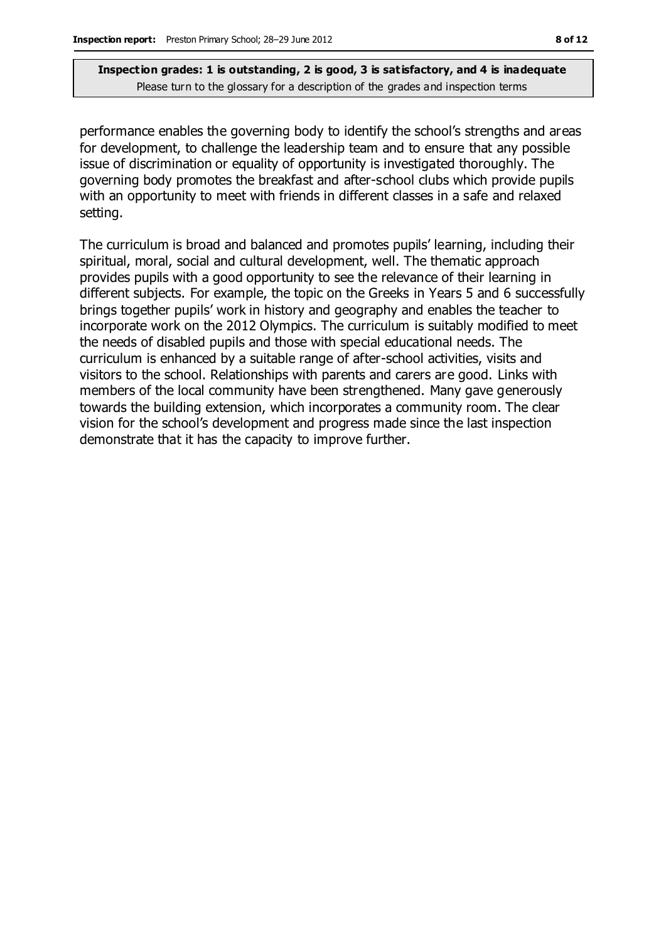performance enables the governing body to identify the school's strengths and areas for development, to challenge the leadership team and to ensure that any possible issue of discrimination or equality of opportunity is investigated thoroughly. The governing body promotes the breakfast and after-school clubs which provide pupils with an opportunity to meet with friends in different classes in a safe and relaxed setting.

The curriculum is broad and balanced and promotes pupils' learning, including their spiritual, moral, social and cultural development, well. The thematic approach provides pupils with a good opportunity to see the relevance of their learning in different subjects. For example, the topic on the Greeks in Years 5 and 6 successfully brings together pupils' work in history and geography and enables the teacher to incorporate work on the 2012 Olympics. The curriculum is suitably modified to meet the needs of disabled pupils and those with special educational needs. The curriculum is enhanced by a suitable range of after-school activities, visits and visitors to the school. Relationships with parents and carers are good. Links with members of the local community have been strengthened. Many gave generously towards the building extension, which incorporates a community room. The clear vision for the school's development and progress made since the last inspection demonstrate that it has the capacity to improve further.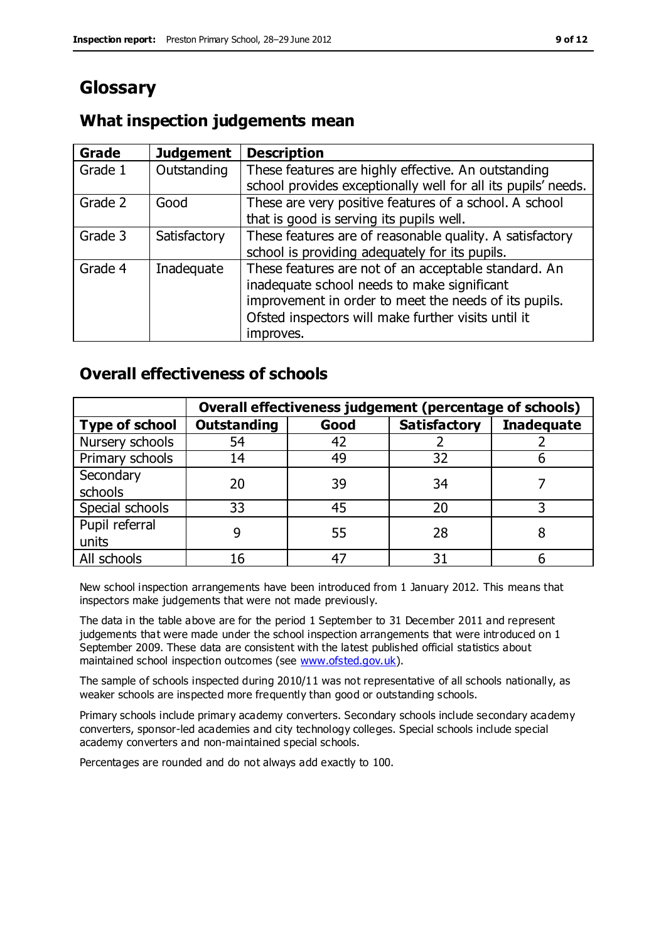# **Glossary**

## **What inspection judgements mean**

| Grade   | <b>Judgement</b> | <b>Description</b>                                            |
|---------|------------------|---------------------------------------------------------------|
| Grade 1 | Outstanding      | These features are highly effective. An outstanding           |
|         |                  | school provides exceptionally well for all its pupils' needs. |
| Grade 2 | Good             | These are very positive features of a school. A school        |
|         |                  | that is good is serving its pupils well.                      |
| Grade 3 | Satisfactory     | These features are of reasonable quality. A satisfactory      |
|         |                  | school is providing adequately for its pupils.                |
| Grade 4 | Inadequate       | These features are not of an acceptable standard. An          |
|         |                  | inadequate school needs to make significant                   |
|         |                  | improvement in order to meet the needs of its pupils.         |
|         |                  | Ofsted inspectors will make further visits until it           |
|         |                  | improves.                                                     |

## **Overall effectiveness of schools**

|                       | Overall effectiveness judgement (percentage of schools) |      |                     |                   |
|-----------------------|---------------------------------------------------------|------|---------------------|-------------------|
| <b>Type of school</b> | <b>Outstanding</b>                                      | Good | <b>Satisfactory</b> | <b>Inadequate</b> |
| Nursery schools       | 54                                                      | 42   |                     |                   |
| Primary schools       | 14                                                      | 49   | 32                  |                   |
| Secondary             | 20                                                      | 39   | 34                  |                   |
| schools               |                                                         |      |                     |                   |
| Special schools       | 33                                                      | 45   | 20                  |                   |
| Pupil referral        |                                                         | 55   | 28                  |                   |
| units                 |                                                         |      |                     |                   |
| All schools           | 16                                                      | 47   | 31                  |                   |

New school inspection arrangements have been introduced from 1 January 2012. This means that inspectors make judgements that were not made previously.

The data in the table above are for the period 1 September to 31 December 2011 and represent judgements that were made under the school inspection arrangements that were introduced on 1 September 2009. These data are consistent with the latest published official statistics about maintained school inspection outcomes (see [www.ofsted.gov.uk\)](http://www.ofsted.gov.uk/).

The sample of schools inspected during 2010/11 was not representative of all schools nationally, as weaker schools are inspected more frequently than good or outstanding schools.

Primary schools include primary academy converters. Secondary schools include secondary academy converters, sponsor-led academies and city technology colleges. Special schools include special academy converters and non-maintained special schools.

Percentages are rounded and do not always add exactly to 100.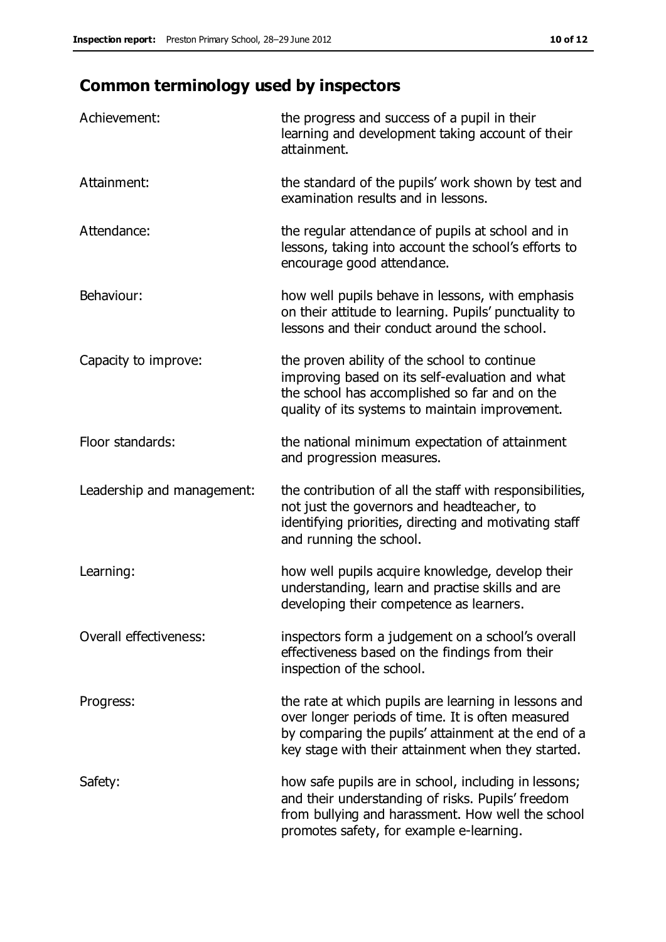# **Common terminology used by inspectors**

| Achievement:               | the progress and success of a pupil in their<br>learning and development taking account of their<br>attainment.                                                                                                        |
|----------------------------|------------------------------------------------------------------------------------------------------------------------------------------------------------------------------------------------------------------------|
| Attainment:                | the standard of the pupils' work shown by test and<br>examination results and in lessons.                                                                                                                              |
| Attendance:                | the regular attendance of pupils at school and in<br>lessons, taking into account the school's efforts to<br>encourage good attendance.                                                                                |
| Behaviour:                 | how well pupils behave in lessons, with emphasis<br>on their attitude to learning. Pupils' punctuality to<br>lessons and their conduct around the school.                                                              |
| Capacity to improve:       | the proven ability of the school to continue<br>improving based on its self-evaluation and what<br>the school has accomplished so far and on the<br>quality of its systems to maintain improvement.                    |
| Floor standards:           | the national minimum expectation of attainment<br>and progression measures.                                                                                                                                            |
| Leadership and management: | the contribution of all the staff with responsibilities,<br>not just the governors and headteacher, to<br>identifying priorities, directing and motivating staff<br>and running the school.                            |
| Learning:                  | how well pupils acquire knowledge, develop their<br>understanding, learn and practise skills and are<br>developing their competence as learners.                                                                       |
| Overall effectiveness:     | inspectors form a judgement on a school's overall<br>effectiveness based on the findings from their<br>inspection of the school.                                                                                       |
| Progress:                  | the rate at which pupils are learning in lessons and<br>over longer periods of time. It is often measured<br>by comparing the pupils' attainment at the end of a<br>key stage with their attainment when they started. |
| Safety:                    | how safe pupils are in school, including in lessons;<br>and their understanding of risks. Pupils' freedom<br>from bullying and harassment. How well the school<br>promotes safety, for example e-learning.             |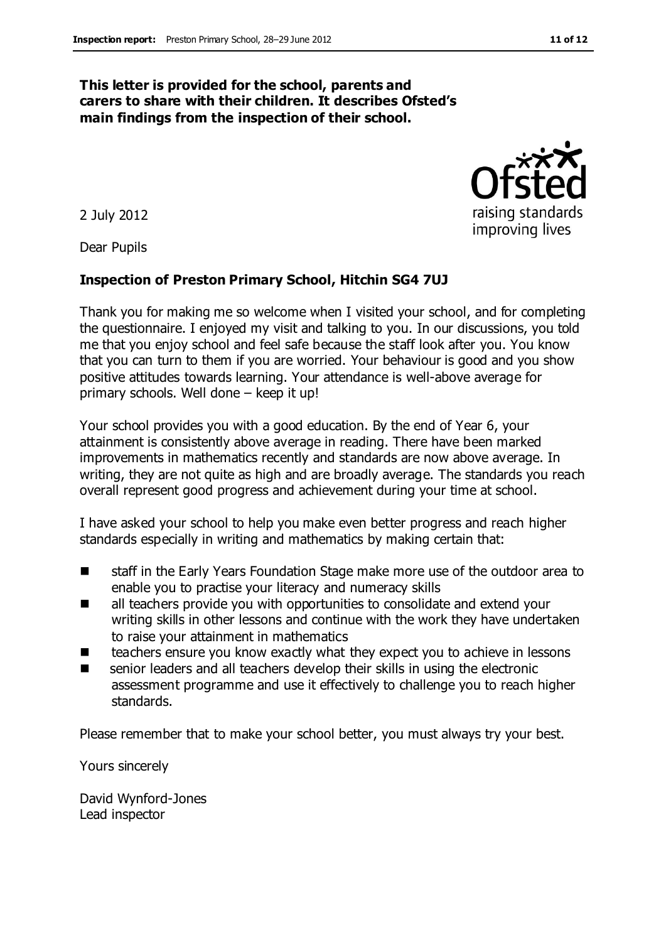#### **This letter is provided for the school, parents and carers to share with their children. It describes Ofsted's main findings from the inspection of their school.**

2 July 2012

Dear Pupils

#### **Inspection of Preston Primary School, Hitchin SG4 7UJ**

Thank you for making me so welcome when I visited your school, and for completing the questionnaire. I enjoyed my visit and talking to you. In our discussions, you told me that you enjoy school and feel safe because the staff look after you. You know that you can turn to them if you are worried. Your behaviour is good and you show positive attitudes towards learning. Your attendance is well-above average for primary schools. Well done – keep it up!

Your school provides you with a good education. By the end of Year 6, your attainment is consistently above average in reading. There have been marked improvements in mathematics recently and standards are now above average. In writing, they are not quite as high and are broadly average. The standards you reach overall represent good progress and achievement during your time at school.

I have asked your school to help you make even better progress and reach higher standards especially in writing and mathematics by making certain that:

- staff in the Early Years Foundation Stage make more use of the outdoor area to enable you to practise your literacy and numeracy skills
- **all teachers provide you with opportunities to consolidate and extend your** writing skills in other lessons and continue with the work they have undertaken to raise your attainment in mathematics
- teachers ensure you know exactly what they expect you to achieve in lessons
- senior leaders and all teachers develop their skills in using the electronic assessment programme and use it effectively to challenge you to reach higher standards.

Please remember that to make your school better, you must always try your best.

Yours sincerely

David Wynford-Jones Lead inspector